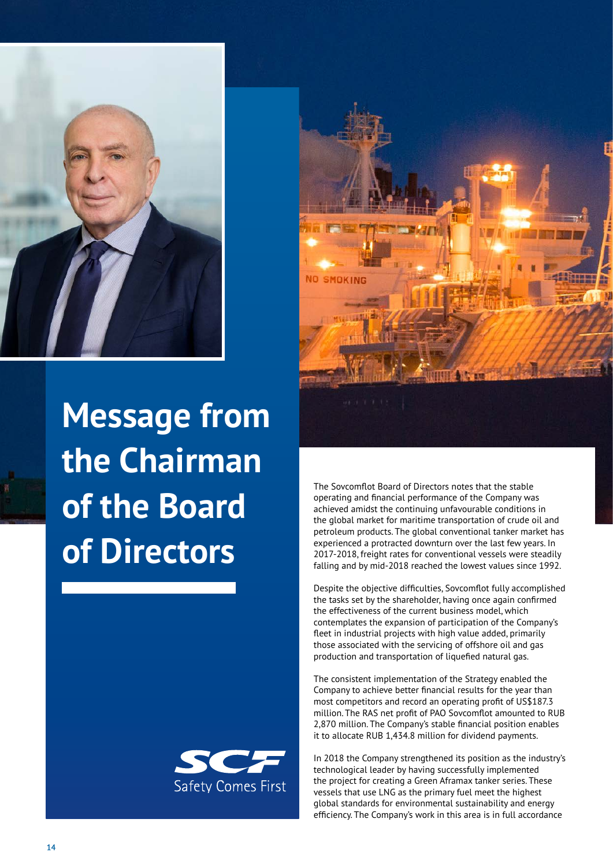

**Message from the Chairman of the Board of Directors**





The Sovcomflot Board of Directors notes that the stable operating and financial performance of the Company was achieved amidst the continuing unfavourable conditions in the global market for maritime transportation of crude oil and petroleum products. The global conventional tanker market has experienced a protracted downturn over the last few years. In 2017-2018, freight rates for conventional vessels were steadily falling and by mid-2018 reached the lowest values since 1992.

Despite the objective difficulties, Sovcomflot fully accomplished the tasks set by the shareholder, having once again confirmed the effectiveness of the current business model, which contemplates the expansion of participation of the Company's fleet in industrial projects with high value added, primarily those associated with the servicing of offshore oil and gas production and transportation of liquefied natural gas.

The consistent implementation of the Strategy enabled the Company to achieve better financial results for the year than most competitors and record an operating profit of US\$187.3 million. The RAS net profit of PAO Sovcomflot amounted to RUB 2,870 million. The Company's stable financial position enables it to allocate RUB 1,434.8 million for dividend payments.

In 2018 the Company strengthened its position as the industry's technological leader by having successfully implemented the project for creating a Green Aframax tanker series. These vessels that use LNG as the primary fuel meet the highest global standards for environmental sustainability and energy efficiency. The Company's work in this area is in full accordance